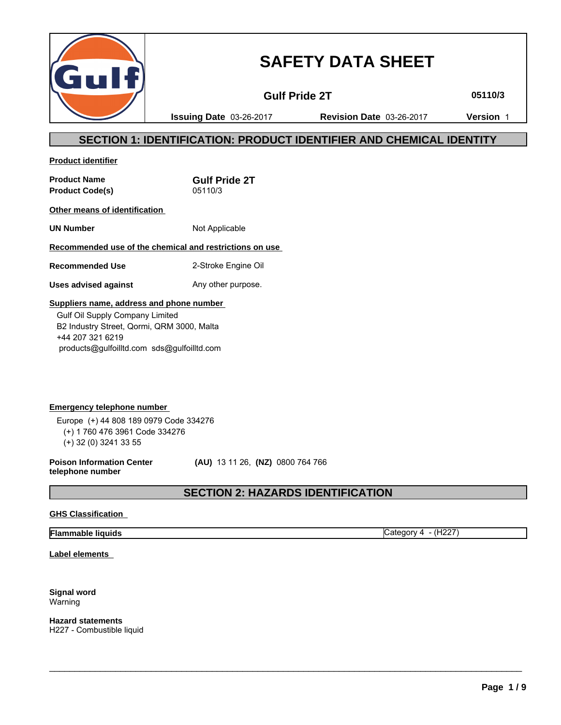

# **SAFETY DATA SHEET**

**Gulf Pride 2T 05110/3**

**Issuing Date** 03-26-2017 **Revision Date** 03-26-2017 **Version** 1

## **SECTION 1: IDENTIFICATION: PRODUCT IDENTIFIER AND CHEMICAL IDENTITY**

**Product identifier**

**Product Name Gulf Pride 2T Product Code(s)** 05110/3

**Other means of identification** 

**UN Number** Not Applicable

## **Recommended use of the chemical and restrictions on use**

**Recommended Use** 2-Stroke Engine Oil

**Uses advised against** Any other purpose.

### **Suppliers name, address and phone number**

 Gulf Oil Supply Company Limited B2 Industry Street, Qormi, QRM 3000, Malta +44 207 321 6219 products@gulfoilltd.com sds@gulfoilltd.com

**Emergency telephone number**  Europe (+) 44 808 189 0979 Code 334276 (+) 1 760 476 3961 Code 334276 (+) 32 (0) 3241 33 55

**Poison Information Center telephone number**

 **(AU)** 13 11 26, **(NZ)** 0800 764 766

## **SECTION 2: HAZARDS IDENTIFICATION**

 $\_$  ,  $\_$  ,  $\_$  ,  $\_$  ,  $\_$  ,  $\_$  ,  $\_$  ,  $\_$  ,  $\_$  ,  $\_$  ,  $\_$  ,  $\_$  ,  $\_$  ,  $\_$  ,  $\_$  ,  $\_$  ,  $\_$  ,  $\_$  ,  $\_$  ,  $\_$  ,  $\_$  ,  $\_$  ,  $\_$  ,  $\_$  ,  $\_$  ,  $\_$  ,  $\_$  ,  $\_$  ,  $\_$  ,  $\_$  ,  $\_$  ,  $\_$  ,  $\_$  ,  $\_$  ,  $\_$  ,  $\_$  ,  $\_$  ,

## **GHS Classification**

## **Flammable liquids** Category 4 - (H227)

**Label elements** 

**Signal word** Warning

**Hazard statements** H227 - Combustible liquid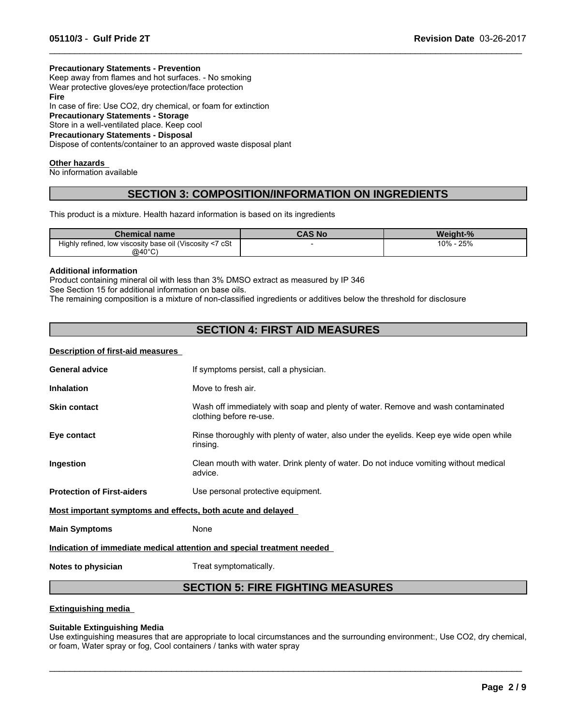#### **Precautionary Statements - Prevention**

Keep away from flames and hot surfaces. - No smoking Wear protective gloves/eye protection/face protection **Fire** In case of fire: Use CO2, dry chemical, or foam for extinction **Precautionary Statements - Storage** Store in a well-ventilated place. Keep cool **Precautionary Statements - Disposal** Dispose of contents/container to an approved waste disposal plant

#### **Other hazards**

No information available

## **SECTION 3: COMPOSITION/INFORMATION ON INGREDIENTS**

 $\_$  ,  $\_$  ,  $\_$  ,  $\_$  ,  $\_$  ,  $\_$  ,  $\_$  ,  $\_$  ,  $\_$  ,  $\_$  ,  $\_$  ,  $\_$  ,  $\_$  ,  $\_$  ,  $\_$  ,  $\_$  ,  $\_$  ,  $\_$  ,  $\_$  ,  $\_$  ,  $\_$  ,  $\_$  ,  $\_$  ,  $\_$  ,  $\_$  ,  $\_$  ,  $\_$  ,  $\_$  ,  $\_$  ,  $\_$  ,  $\_$  ,  $\_$  ,  $\_$  ,  $\_$  ,  $\_$  ,  $\_$  ,  $\_$  ,

This product is a mixture. Health hazard information is based on its ingredients

| <b>Chemical name</b>                                               | CAS No | Weight-%      |
|--------------------------------------------------------------------|--------|---------------|
| ' cSt<br>, low viscosity base oil (Viscosity <7<br>Highly refined. |        | 10%<br>$-25%$ |
| @40°C)                                                             |        |               |

#### **Additional information**

Product containing mineral oil with less than 3% DMSO extract as measured by IP 346 See Section 15 for additional information on base oils.

The remaining composition is a mixture of non-classified ingredients or additives below the threshold for disclosure

## **SECTION 4: FIRST AID MEASURES**

#### **Description of first-aid measures**

| <b>General advice</b>                                                  | If symptoms persist, call a physician.                                                                      |  |
|------------------------------------------------------------------------|-------------------------------------------------------------------------------------------------------------|--|
| <b>Inhalation</b>                                                      | Move to fresh air.                                                                                          |  |
| <b>Skin contact</b>                                                    | Wash off immediately with soap and plenty of water. Remove and wash contaminated<br>clothing before re-use. |  |
| Eye contact                                                            | Rinse thoroughly with plenty of water, also under the eyelids. Keep eye wide open while<br>rinsing.         |  |
| Ingestion                                                              | Clean mouth with water. Drink plenty of water. Do not induce vomiting without medical<br>advice.            |  |
| <b>Protection of First-aiders</b>                                      | Use personal protective equipment.                                                                          |  |
| Most important symptoms and effects, both acute and delayed            |                                                                                                             |  |
| <b>Main Symptoms</b>                                                   | None                                                                                                        |  |
| Indication of immediate medical attention and special treatment needed |                                                                                                             |  |
|                                                                        |                                                                                                             |  |

**Notes to physician** Treat symptomatically.

## **SECTION 5: FIRE FIGHTING MEASURES**

#### **Extinguishing media**

#### **Suitable Extinguishing Media**

Use extinguishing measures that are appropriate to local circumstances and the surrounding environment:, Use CO2, dry chemical, or foam, Water spray or fog, Cool containers / tanks with water spray

 $\_$  ,  $\_$  ,  $\_$  ,  $\_$  ,  $\_$  ,  $\_$  ,  $\_$  ,  $\_$  ,  $\_$  ,  $\_$  ,  $\_$  ,  $\_$  ,  $\_$  ,  $\_$  ,  $\_$  ,  $\_$  ,  $\_$  ,  $\_$  ,  $\_$  ,  $\_$  ,  $\_$  ,  $\_$  ,  $\_$  ,  $\_$  ,  $\_$  ,  $\_$  ,  $\_$  ,  $\_$  ,  $\_$  ,  $\_$  ,  $\_$  ,  $\_$  ,  $\_$  ,  $\_$  ,  $\_$  ,  $\_$  ,  $\_$  ,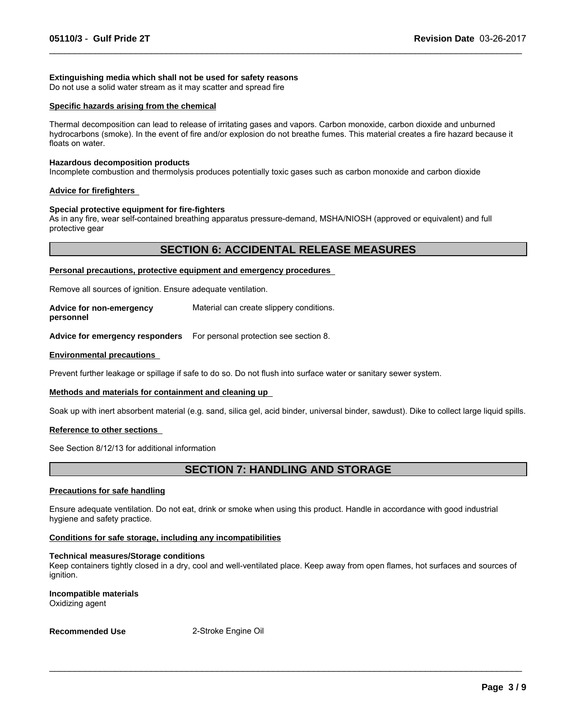#### **Extinguishing media which shall not be used for safety reasons**

Do not use a solid water stream as it may scatter and spread fire

#### **Specific hazards arising from the chemical**

Thermal decomposition can lead to release of irritating gases and vapors. Carbon monoxide, carbon dioxide and unburned hydrocarbons (smoke). In the event of fire and/or explosion do not breathe fumes. This material creates a fire hazard because it floats on water.

 $\_$  ,  $\_$  ,  $\_$  ,  $\_$  ,  $\_$  ,  $\_$  ,  $\_$  ,  $\_$  ,  $\_$  ,  $\_$  ,  $\_$  ,  $\_$  ,  $\_$  ,  $\_$  ,  $\_$  ,  $\_$  ,  $\_$  ,  $\_$  ,  $\_$  ,  $\_$  ,  $\_$  ,  $\_$  ,  $\_$  ,  $\_$  ,  $\_$  ,  $\_$  ,  $\_$  ,  $\_$  ,  $\_$  ,  $\_$  ,  $\_$  ,  $\_$  ,  $\_$  ,  $\_$  ,  $\_$  ,  $\_$  ,  $\_$  ,

#### **Hazardous decomposition products**

Incomplete combustion and thermolysis produces potentially toxic gases such as carbon monoxide and carbon dioxide

#### **Advice for firefighters**

#### **Special protective equipment for fire-fighters**

As in any fire, wear self-contained breathing apparatus pressure-demand, MSHA/NIOSH (approved or equivalent) and full protective gear

### **SECTION 6: ACCIDENTAL RELEASE MEASURES**

#### **Personal precautions, protective equipment and emergency procedures**

Remove all sources of ignition. Ensure adequate ventilation.

**Advice for non-emergency personnel** Material can create slippery conditions.

**Advice for emergency responders** For personal protection see section 8.

#### **Environmental precautions**

Prevent further leakage or spillage if safe to do so. Do not flush into surface water or sanitary sewer system.

#### **Methods and materials for containment and cleaning up**

Soak up with inert absorbent material (e.g. sand, silica gel, acid binder, universal binder, sawdust). Dike to collect large liquid spills.

#### **Reference to other sections**

See Section 8/12/13 for additional information

## **SECTION 7: HANDLING AND STORAGE**

#### **Precautions for safe handling**

Ensure adequate ventilation. Do not eat, drink or smoke when using this product. Handle in accordance with good industrial hygiene and safety practice.

#### **Conditions for safe storage, including any incompatibilities**

#### **Technical measures/Storage conditions**

Keep containers tightly closed in a dry, cool and well-ventilated place. Keep away from open flames, hot surfaces and sources of ignition.

 $\_$  ,  $\_$  ,  $\_$  ,  $\_$  ,  $\_$  ,  $\_$  ,  $\_$  ,  $\_$  ,  $\_$  ,  $\_$  ,  $\_$  ,  $\_$  ,  $\_$  ,  $\_$  ,  $\_$  ,  $\_$  ,  $\_$  ,  $\_$  ,  $\_$  ,  $\_$  ,  $\_$  ,  $\_$  ,  $\_$  ,  $\_$  ,  $\_$  ,  $\_$  ,  $\_$  ,  $\_$  ,  $\_$  ,  $\_$  ,  $\_$  ,  $\_$  ,  $\_$  ,  $\_$  ,  $\_$  ,  $\_$  ,  $\_$  ,

**Incompatible materials** Oxidizing agent

**Recommended Use** 2-Stroke Engine Oil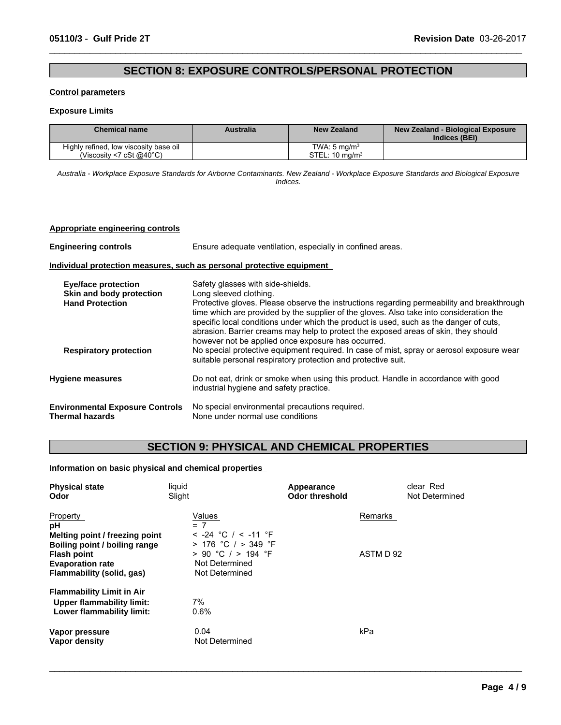## **SECTION 8: EXPOSURE CONTROLS/PERSONAL PROTECTION**

 $\_$  ,  $\_$  ,  $\_$  ,  $\_$  ,  $\_$  ,  $\_$  ,  $\_$  ,  $\_$  ,  $\_$  ,  $\_$  ,  $\_$  ,  $\_$  ,  $\_$  ,  $\_$  ,  $\_$  ,  $\_$  ,  $\_$  ,  $\_$  ,  $\_$  ,  $\_$  ,  $\_$  ,  $\_$  ,  $\_$  ,  $\_$  ,  $\_$  ,  $\_$  ,  $\_$  ,  $\_$  ,  $\_$  ,  $\_$  ,  $\_$  ,  $\_$  ,  $\_$  ,  $\_$  ,  $\_$  ,  $\_$  ,  $\_$  ,

#### **Control parameters**

#### **Exposure Limits**

| <b>Chemical name</b>                   | <b>Australia</b> | New Zealand              | New Zealand - Biological Exposure<br>Indices (BEI) |
|----------------------------------------|------------------|--------------------------|----------------------------------------------------|
| Highly refined, low viscosity base oil |                  | TWA: 5 ma/m <sup>3</sup> |                                                    |
| (Viscosity <7 cSt $@40^{\circ}$ C)     |                  | $STEL: 10$ mg/m $3$      |                                                    |

*Australia - Workplace Exposure Standards for Airborne Contaminants. New Zealand - Workplace Exposure Standards and Biological Exposure Indices.*

#### **Appropriate engineering controls**

| <b>Engineering controls</b>                                                                                       | Ensure adequate ventilation, especially in confined areas.                                                                                                                                                                                                                                                                                                                                                                                                                                                                                                                               |
|-------------------------------------------------------------------------------------------------------------------|------------------------------------------------------------------------------------------------------------------------------------------------------------------------------------------------------------------------------------------------------------------------------------------------------------------------------------------------------------------------------------------------------------------------------------------------------------------------------------------------------------------------------------------------------------------------------------------|
|                                                                                                                   | Individual protection measures, such as personal protective equipment                                                                                                                                                                                                                                                                                                                                                                                                                                                                                                                    |
| <b>Eye/face protection</b><br>Skin and body protection<br><b>Hand Protection</b><br><b>Respiratory protection</b> | Safety glasses with side-shields.<br>Long sleeved clothing.<br>Protective gloves. Please observe the instructions regarding permeability and breakthrough<br>time which are provided by the supplier of the gloves. Also take into consideration the<br>specific local conditions under which the product is used, such as the danger of cuts,<br>abrasion. Barrier creams may help to protect the exposed areas of skin, they should<br>however not be applied once exposure has occurred.<br>No special protective equipment required. In case of mist, spray or aerosol exposure wear |
|                                                                                                                   | suitable personal respiratory protection and protective suit.                                                                                                                                                                                                                                                                                                                                                                                                                                                                                                                            |
| <b>Hygiene measures</b>                                                                                           | Do not eat, drink or smoke when using this product. Handle in accordance with good<br>industrial hygiene and safety practice.                                                                                                                                                                                                                                                                                                                                                                                                                                                            |
| <b>Environmental Exposure Controls</b><br><b>Thermal hazards</b>                                                  | No special environmental precautions required.<br>None under normal use conditions                                                                                                                                                                                                                                                                                                                                                                                                                                                                                                       |

## **SECTION 9: PHYSICAL AND CHEMICAL PROPERTIES**

 $\_$  ,  $\_$  ,  $\_$  ,  $\_$  ,  $\_$  ,  $\_$  ,  $\_$  ,  $\_$  ,  $\_$  ,  $\_$  ,  $\_$  ,  $\_$  ,  $\_$  ,  $\_$  ,  $\_$  ,  $\_$  ,  $\_$  ,  $\_$  ,  $\_$  ,  $\_$  ,  $\_$  ,  $\_$  ,  $\_$  ,  $\_$  ,  $\_$  ,  $\_$  ,  $\_$  ,  $\_$  ,  $\_$  ,  $\_$  ,  $\_$  ,  $\_$  ,  $\_$  ,  $\_$  ,  $\_$  ,  $\_$  ,  $\_$  ,

### **Information on basic physical and chemical properties**

| <b>Physical state</b><br>Odor                                                                                                                 | liquid<br>Slight                                                                                                 | Appearance<br><b>Odor threshold</b> | clear Red<br>Not Determined |
|-----------------------------------------------------------------------------------------------------------------------------------------------|------------------------------------------------------------------------------------------------------------------|-------------------------------------|-----------------------------|
| <b>Property</b><br>рH                                                                                                                         | Values<br>$= 7$                                                                                                  | Remarks                             |                             |
| Melting point / freezing point<br>Boiling point / boiling range<br><b>Flash point</b><br><b>Evaporation rate</b><br>Flammability (solid, gas) | $<$ -24 °C / $<$ -11 °F<br>$> 176$ °C / $> 349$ °F<br>$> 90$ °C / $> 194$ °F<br>Not Determined<br>Not Determined | ASTM D 92                           |                             |
| <b>Flammability Limit in Air</b><br>Upper flammability limit:<br>Lower flammability limit:                                                    | 7%<br>$0.6\%$                                                                                                    |                                     |                             |
| Vapor pressure<br>Vapor density                                                                                                               | 0.04<br>Not Determined                                                                                           | kPa                                 |                             |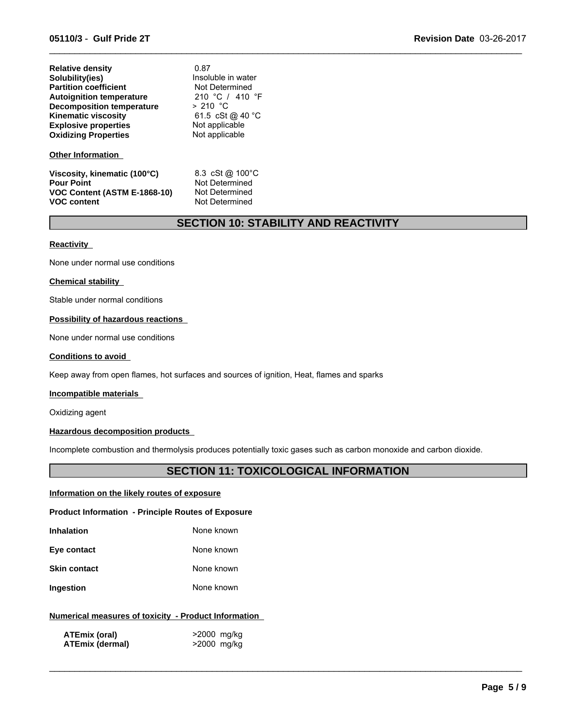| <b>Relative density</b>          | 0.87               |  |
|----------------------------------|--------------------|--|
| Solubility(ies)                  | Insoluble in water |  |
| <b>Partition coefficient</b>     | Not Determined     |  |
| <b>Autoignition temperature</b>  | 210 °C / 410 °F    |  |
| <b>Decomposition temperature</b> | $> 210$ °C         |  |
| <b>Kinematic viscosity</b>       | 61.5 cSt @ 40 °C   |  |
| <b>Explosive properties</b>      | Not applicable     |  |
| <b>Oxidizing Properties</b>      | Not applicable     |  |
| <b>Other Information</b>         |                    |  |

**Viscosity, kinematic (100°C)** 8.3 cSt @ 100°C **Pour Point**<br>VOC Content (ASTM E-1868-10) Not Determined **VOC Content (ASTM E-1868-10)**<br>VOC content

**Not Determined** 

## **SECTION 10: STABILITY AND REACTIVITY**

 $\_$  ,  $\_$  ,  $\_$  ,  $\_$  ,  $\_$  ,  $\_$  ,  $\_$  ,  $\_$  ,  $\_$  ,  $\_$  ,  $\_$  ,  $\_$  ,  $\_$  ,  $\_$  ,  $\_$  ,  $\_$  ,  $\_$  ,  $\_$  ,  $\_$  ,  $\_$  ,  $\_$  ,  $\_$  ,  $\_$  ,  $\_$  ,  $\_$  ,  $\_$  ,  $\_$  ,  $\_$  ,  $\_$  ,  $\_$  ,  $\_$  ,  $\_$  ,  $\_$  ,  $\_$  ,  $\_$  ,  $\_$  ,  $\_$  ,

#### **Reactivity**

None under normal use conditions

#### **Chemical stability**

Stable under normal conditions

#### **Possibility of hazardous reactions**

None under normal use conditions

#### **Conditions to avoid**

Keep away from open flames, hot surfaces and sources of ignition, Heat, flames and sparks

#### **Incompatible materials**

Oxidizing agent

#### **Hazardous decomposition products**

Incomplete combustion and thermolysis produces potentially toxic gases such as carbon monoxide and carbon dioxide.

## **SECTION 11: TOXICOLOGICAL INFORMATION**

 $\_$  ,  $\_$  ,  $\_$  ,  $\_$  ,  $\_$  ,  $\_$  ,  $\_$  ,  $\_$  ,  $\_$  ,  $\_$  ,  $\_$  ,  $\_$  ,  $\_$  ,  $\_$  ,  $\_$  ,  $\_$  ,  $\_$  ,  $\_$  ,  $\_$  ,  $\_$  ,  $\_$  ,  $\_$  ,  $\_$  ,  $\_$  ,  $\_$  ,  $\_$  ,  $\_$  ,  $\_$  ,  $\_$  ,  $\_$  ,  $\_$  ,  $\_$  ,  $\_$  ,  $\_$  ,  $\_$  ,  $\_$  ,  $\_$  ,

#### **Information on the likely routes of exposure**

**Product Information - Principle Routes of Exposure**

| <b>Inhalation</b> | None known |
|-------------------|------------|
| Eye contact       | None known |

**Skin contact** None known

**Ingestion** None known

## **Numerical measures of toxicity - Product Information**

| ATEmix (oral)          | >2000 mg/kg |
|------------------------|-------------|
| <b>ATEmix (dermal)</b> | >2000 mg/kg |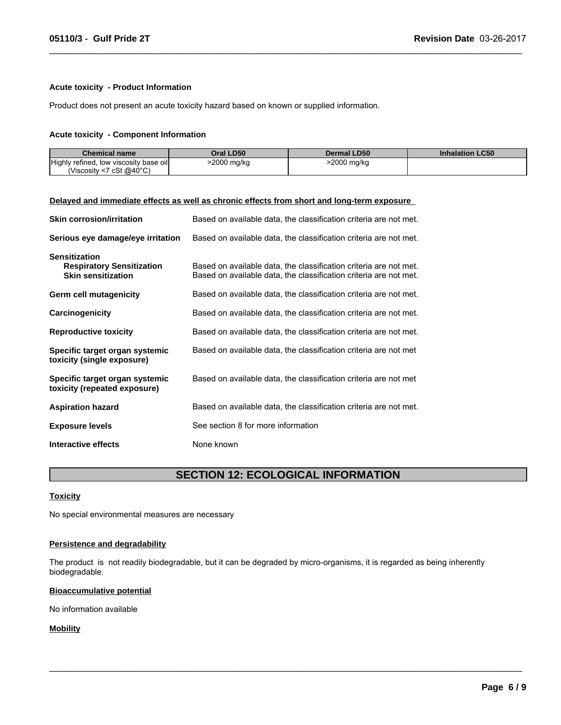#### **Acute toxicity - Product Information**

Product does not present an acute toxicity hazard based on known or supplied information.

#### **Acute toxicity - Component Information**

| <b>Chemical name</b>                        | Oral LD50  | <b>Dermal LD50</b> | <b>Inhalation LC50</b> |
|---------------------------------------------|------------|--------------------|------------------------|
| Highly refined,<br>, low viscosity base oil | 2000 mg/kg | >2000 mg/kg        |                        |
| (Viscosity <7 cSt $@40^{\circ}$ C)          |            |                    |                        |

 $\_$  ,  $\_$  ,  $\_$  ,  $\_$  ,  $\_$  ,  $\_$  ,  $\_$  ,  $\_$  ,  $\_$  ,  $\_$  ,  $\_$  ,  $\_$  ,  $\_$  ,  $\_$  ,  $\_$  ,  $\_$  ,  $\_$  ,  $\_$  ,  $\_$  ,  $\_$  ,  $\_$  ,  $\_$  ,  $\_$  ,  $\_$  ,  $\_$  ,  $\_$  ,  $\_$  ,  $\_$  ,  $\_$  ,  $\_$  ,  $\_$  ,  $\_$  ,  $\_$  ,  $\_$  ,  $\_$  ,  $\_$  ,  $\_$  ,

#### **Delayed and immediate effects as well as chronic effects from short and long-term exposure**

| <b>Skin corrosion/irritation</b>                                                      | Based on available data, the classification criteria are not met.                                                                      |
|---------------------------------------------------------------------------------------|----------------------------------------------------------------------------------------------------------------------------------------|
| Serious eye damage/eye irritation                                                     | Based on available data, the classification criteria are not met.                                                                      |
| <b>Sensitization</b><br><b>Respiratory Sensitization</b><br><b>Skin sensitization</b> | Based on available data, the classification criteria are not met.<br>Based on available data, the classification criteria are not met. |
| Germ cell mutagenicity                                                                | Based on available data, the classification criteria are not met.                                                                      |
| Carcinogenicity                                                                       | Based on available data, the classification criteria are not met.                                                                      |
| <b>Reproductive toxicity</b>                                                          | Based on available data, the classification criteria are not met.                                                                      |
| Specific target organ systemic<br>toxicity (single exposure)                          | Based on available data, the classification criteria are not met                                                                       |
| Specific target organ systemic<br>toxicity (repeated exposure)                        | Based on available data, the classification criteria are not met                                                                       |
| <b>Aspiration hazard</b>                                                              | Based on available data, the classification criteria are not met.                                                                      |
| <b>Exposure levels</b>                                                                | See section 8 for more information                                                                                                     |
| Interactive effects                                                                   | None known                                                                                                                             |

## **SECTION 12: ECOLOGICAL INFORMATION**

 $\_$  ,  $\_$  ,  $\_$  ,  $\_$  ,  $\_$  ,  $\_$  ,  $\_$  ,  $\_$  ,  $\_$  ,  $\_$  ,  $\_$  ,  $\_$  ,  $\_$  ,  $\_$  ,  $\_$  ,  $\_$  ,  $\_$  ,  $\_$  ,  $\_$  ,  $\_$  ,  $\_$  ,  $\_$  ,  $\_$  ,  $\_$  ,  $\_$  ,  $\_$  ,  $\_$  ,  $\_$  ,  $\_$  ,  $\_$  ,  $\_$  ,  $\_$  ,  $\_$  ,  $\_$  ,  $\_$  ,  $\_$  ,  $\_$  ,

#### **Toxicity**

No special environmental measures are necessary

#### **Persistence and degradability**

The product is not readily biodegradable, but it can be degraded by micro-organisms, it is regarded as being inherently biodegradable.

#### **Bioaccumulative potential**

No information available

#### **Mobility**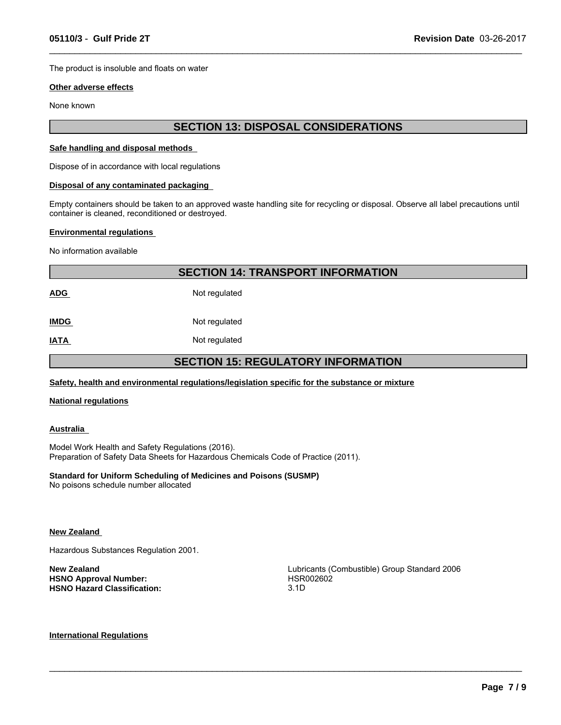The product is insoluble and floats on water

#### **Other adverse effects**

None known

## **SECTION 13: DISPOSAL CONSIDERATIONS**

 $\_$  ,  $\_$  ,  $\_$  ,  $\_$  ,  $\_$  ,  $\_$  ,  $\_$  ,  $\_$  ,  $\_$  ,  $\_$  ,  $\_$  ,  $\_$  ,  $\_$  ,  $\_$  ,  $\_$  ,  $\_$  ,  $\_$  ,  $\_$  ,  $\_$  ,  $\_$  ,  $\_$  ,  $\_$  ,  $\_$  ,  $\_$  ,  $\_$  ,  $\_$  ,  $\_$  ,  $\_$  ,  $\_$  ,  $\_$  ,  $\_$  ,  $\_$  ,  $\_$  ,  $\_$  ,  $\_$  ,  $\_$  ,  $\_$  ,

#### **Safe handling and disposal methods**

Dispose of in accordance with local regulations

#### **Disposal of any contaminated packaging**

Empty containers should be taken to an approved waste handling site for recycling or disposal. Observe all label precautions until container is cleaned, reconditioned or destroyed.

#### **Environmental regulations**

No information available

|                                           | <b>SECTION 14: TRANSPORT INFORMATION</b> |  |  |
|-------------------------------------------|------------------------------------------|--|--|
| <b>ADG</b>                                | Not regulated                            |  |  |
| <b>IMDG</b>                               | Not regulated                            |  |  |
| <b>IATA</b>                               | Not regulated                            |  |  |
| <b>SECTION 15: REGULATORY INFORMATION</b> |                                          |  |  |

#### **Safety, health and environmental regulations/legislation specific for the substance or mixture**

#### **National regulations**

#### **Australia**

Model Work Health and Safety Regulations (2016). Preparation of Safety Data Sheets for Hazardous Chemicals Code of Practice (2011).

#### **Standard for Uniform Scheduling of Medicines and Poisons (SUSMP)**

No poisons schedule number allocated

#### **New Zealand**

Hazardous Substances Regulation 2001.

**HSNO Approval Number:** HSR002602 **HSNO Hazard Classification:** 

**New Zealand**<br> **New Zealand**<br> **HSNO Approval Number: HSNO Approval Number: HSNO Approval Number: HSRO02602** 

 $\_$  ,  $\_$  ,  $\_$  ,  $\_$  ,  $\_$  ,  $\_$  ,  $\_$  ,  $\_$  ,  $\_$  ,  $\_$  ,  $\_$  ,  $\_$  ,  $\_$  ,  $\_$  ,  $\_$  ,  $\_$  ,  $\_$  ,  $\_$  ,  $\_$  ,  $\_$  ,  $\_$  ,  $\_$  ,  $\_$  ,  $\_$  ,  $\_$  ,  $\_$  ,  $\_$  ,  $\_$  ,  $\_$  ,  $\_$  ,  $\_$  ,  $\_$  ,  $\_$  ,  $\_$  ,  $\_$  ,  $\_$  ,  $\_$  ,

#### **International Regulations**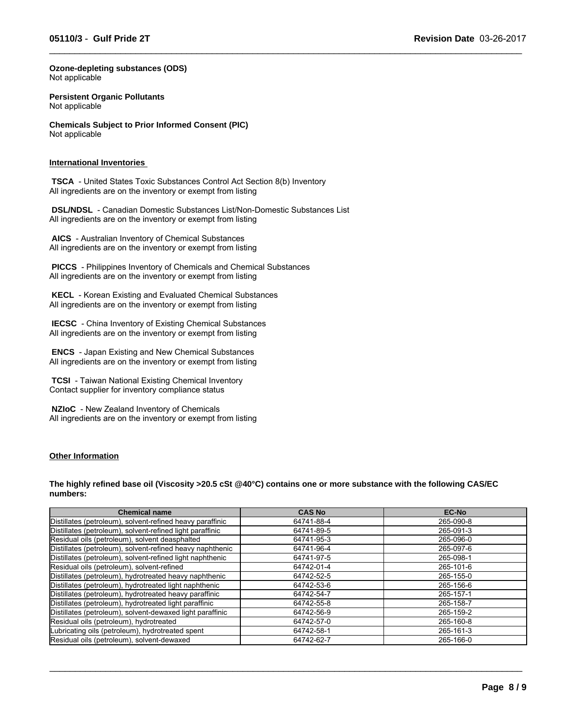$\_$  ,  $\_$  ,  $\_$  ,  $\_$  ,  $\_$  ,  $\_$  ,  $\_$  ,  $\_$  ,  $\_$  ,  $\_$  ,  $\_$  ,  $\_$  ,  $\_$  ,  $\_$  ,  $\_$  ,  $\_$  ,  $\_$  ,  $\_$  ,  $\_$  ,  $\_$  ,  $\_$  ,  $\_$  ,  $\_$  ,  $\_$  ,  $\_$  ,  $\_$  ,  $\_$  ,  $\_$  ,  $\_$  ,  $\_$  ,  $\_$  ,  $\_$  ,  $\_$  ,  $\_$  ,  $\_$  ,  $\_$  ,  $\_$  ,

**Ozone-depleting substances (ODS)** Not applicable

**Persistent Organic Pollutants** Not applicable

**Chemicals Subject to Prior Informed Consent (PIC)** Not applicable

#### **International Inventories**

 **TSCA** - United States Toxic Substances Control Act Section 8(b) Inventory All ingredients are on the inventory or exempt from listing

 **DSL/NDSL** - Canadian Domestic Substances List/Non-Domestic Substances List All ingredients are on the inventory or exempt from listing

 **AICS** - Australian Inventory of Chemical Substances All ingredients are on the inventory or exempt from listing

 **PICCS** - Philippines Inventory of Chemicals and Chemical Substances All ingredients are on the inventory or exempt from listing

 **KECL** - Korean Existing and Evaluated Chemical Substances All ingredients are on the inventory or exempt from listing

 **IECSC** - China Inventory of Existing Chemical Substances All ingredients are on the inventory or exempt from listing

 **ENCS** - Japan Existing and New Chemical Substances All ingredients are on the inventory or exempt from listing

 **TCSI** - Taiwan National Existing Chemical Inventory Contact supplier for inventory compliance status

 **NZIoC** - New Zealand Inventory of Chemicals All ingredients are on the inventory or exempt from listing

#### **Other Information**

**The highly refined base oil (Viscosity >20.5 cSt @40°C) contains one or more substance with the following CAS/EC numbers:**

| <b>Chemical name</b>                                      | <b>CAS No</b> | <b>EC-No</b> |
|-----------------------------------------------------------|---------------|--------------|
| Distillates (petroleum), solvent-refined heavy paraffinic | 64741-88-4    | 265-090-8    |
| Distillates (petroleum), solvent-refined light paraffinic | 64741-89-5    | 265-091-3    |
| Residual oils (petroleum), solvent deasphalted            | 64741-95-3    | 265-096-0    |
| Distillates (petroleum), solvent-refined heavy naphthenic | 64741-96-4    | 265-097-6    |
| Distillates (petroleum), solvent-refined light naphthenic | 64741-97-5    | 265-098-1    |
| Residual oils (petroleum), solvent-refined                | 64742-01-4    | 265-101-6    |
| Distillates (petroleum), hydrotreated heavy naphthenic    | 64742-52-5    | 265-155-0    |
| Distillates (petroleum), hydrotreated light naphthenic    | 64742-53-6    | 265-156-6    |
| Distillates (petroleum), hydrotreated heavy paraffinic    | 64742-54-7    | 265-157-1    |
| Distillates (petroleum), hydrotreated light paraffinic    | 64742-55-8    | 265-158-7    |
| Distillates (petroleum), solvent-dewaxed light paraffinic | 64742-56-9    | 265-159-2    |
| Residual oils (petroleum), hydrotreated                   | 64742-57-0    | 265-160-8    |
| Lubricating oils (petroleum), hydrotreated spent          | 64742-58-1    | 265-161-3    |
| Residual oils (petroleum), solvent-dewaxed                | 64742-62-7    | 265-166-0    |

 $\_$  ,  $\_$  ,  $\_$  ,  $\_$  ,  $\_$  ,  $\_$  ,  $\_$  ,  $\_$  ,  $\_$  ,  $\_$  ,  $\_$  ,  $\_$  ,  $\_$  ,  $\_$  ,  $\_$  ,  $\_$  ,  $\_$  ,  $\_$  ,  $\_$  ,  $\_$  ,  $\_$  ,  $\_$  ,  $\_$  ,  $\_$  ,  $\_$  ,  $\_$  ,  $\_$  ,  $\_$  ,  $\_$  ,  $\_$  ,  $\_$  ,  $\_$  ,  $\_$  ,  $\_$  ,  $\_$  ,  $\_$  ,  $\_$  ,